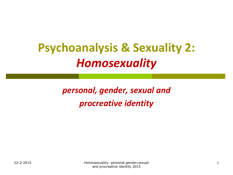# **Psychoanalysis & Sexuality 2:**  *Homosexuality*

*personal, gender, sexual and procreative identity*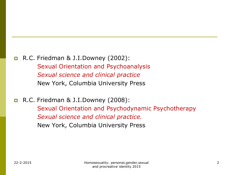#### $\blacksquare$  R.C. Friedman & J.I.Downey (2002): Sexual Orientation and Psychoanalysis *Sexual science and clinical practice* New York, Columbia University Press

 R.C. Friedman & J.I.Downey (2008): Sexual Orientation and Psychodynamic Psychotherapy *Sexual science and clinical practice.*  New York, Columbia University Press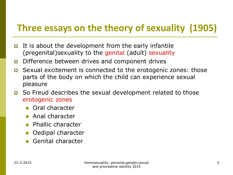# **Three essays on the theory of sexuality (1905)**

- It is about the development from the early infantile (pregenital)sexuality to the genital (adult) sexuality
- Difference between drives and component drives
- Sexual excitement is connected to the erotogenic zones: those parts of the body on which the child can experience sexual pleasure
- So Freud describes the sexual development related to those erotogenic zones
	- **Cal character**
	- **Anal character**
	- **Phallic character**
	- Oedipal character
	- Genital character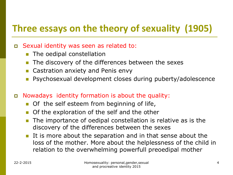# **Three essays on the theory of sexuality (1905)**

#### Sexual identity was seen as related to:

- The oedipal constellation
- **The discovery of the differences between the sexes**
- Castration anxiety and Penis envy
- Psychosexual development closes during puberty/adolescence
- Nowadays identity formation is about the quality:
	- Of the self esteem from beginning of life,
	- Of the exploration of the self and the other
	- **The importance of oedipal constellation is relative as is the** discovery of the differences between the sexes
	- It is more about the separation and in that sense about the loss of the mother. More about the helplessness of the child in relation to the overwhelming powerfull preoedipal mother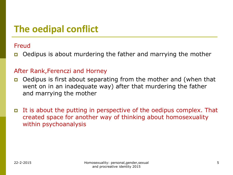# **The oedipal conflict**

#### Freud

Oedipus is about murdering the father and marrying the mother

#### After Rank,Ferenczi and Horney

- Oedipus is first about separating from the mother and (when that went on in an inadequate way) after that murdering the father and marrying the mother
- It is about the putting in perspective of the oedipus complex. That created space for another way of thinking about homosexuality within psychoanalysis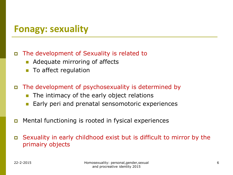### **Fonagy: sexuality**

#### The development of Sexuality is related to

- Adequate mirroring of affects
- To affect regulation
- The development of psychosexuality is determined by
	- **The intimacy of the early object relations**
	- **Early peri and prenatal sensomotoric experiences**
- Mental functioning is rooted in fysical experiences
- Sexuality in early childhood exist but is difficult to mirror by the primairy objects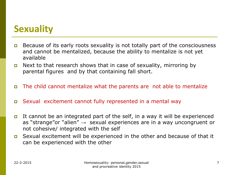# **Sexuality**

- Because of its early roots sexuality is not totally part of the consciousness and cannot be mentalized, because the ability to mentalize is not yet available
- **D** Next to that research shows that in case of sexuality, mirroring by parental figures and by that containing fall short.
- The child cannot mentalize what the parents are not able to mentalize
- Sexual excitement cannot fully represented in a mental way
- It cannot be an integrated part of the self, in a way it will be experienced as "strange" or "alien"  $\rightarrow$  sexual experiences are in a way uncongruent or not cohesive/ integrated with the self
- Sexual excitement will be experienced in the other and because of that it can be experienced with the other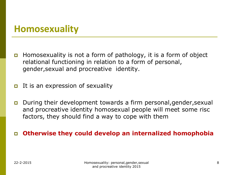### **Homosexuality**

- **Homosexuality is not a form of pathology, it is a form of object** relational functioning in relation to a form of personal, gender,sexual and procreative identity.
- It is an expression of sexuality
- During their development towards a firm personal,gender,sexual and procreative identity homosexual people will meet some risc factors, they should find a way to cope with them

#### **Otherwise they could develop an internalized homophobia**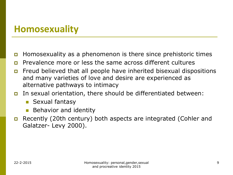### **Homosexuality**

- **Homosexuality as a phenomenon is there since prehistoric times**
- **p** Prevalence more or less the same across different cultures
- **n** Freud believed that all people have inherited bisexual dispositions and many varieties of love and desire are experienced as alternative pathways to intimacy
- In sexual orientation, there should be differentiated between:
	- **Sexual fantasy**
	- **Behavior and identity**
- Recently (20th century) both aspects are integrated (Cohler and Galatzer- Levy 2000).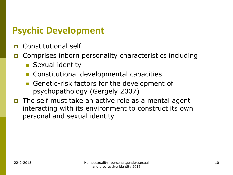# **Psychic Development**

- **D** Constitutional self
- Comprises inborn personality characteristics including
	- **Sexual identity**
	- **Constitutional developmental capacities**
	- Genetic-risk factors for the development of psychopathology (Gergely 2007)
- The self must take an active role as a mental agent interacting with its environment to construct its own personal and sexual identity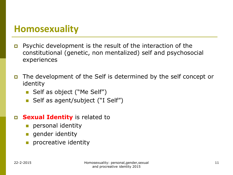### **Homosexuality**

- Psychic development is the result of the interaction of the constitutional (genetic, non mentalized) self and psychosocial experiences
- The development of the Self is determined by the self concept or identity
	- Self as object ("Me Self")
	- Self as agent/subject ("I Self")
- **Sexual Identity** is related to
	- **personal identity**
	- **gender identity**
	- procreative identity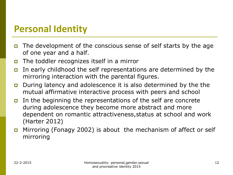### **Personal Identity**

- The development of the conscious sense of self starts by the age of one year and a half.
- $\Box$  The toddler recognizes itself in a mirror
- In early childhood the self representations are determined by the mirroring interaction with the parental figures.
- During latency and adolescence it is also determined by the the mutual affirmative interactive process with peers and school
- In the beginning the representations of the self are concrete during adolescence they become more abstract and more dependent on romantic attractiveness,status at school and work (Harter 2012)
- **n** Mirroring (Fonagy 2002) is about the mechanism of affect or self mirroring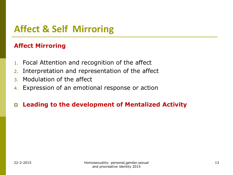# **Affect & Self Mirroring**

#### **Affect Mirroring**

- 1. Focal Attention and recognition of the affect
- 2. Interpretation and representation of the affect
- 3. Modulation of the affect
- 4. Expression of an emotional response or action

#### **Leading to the development of Mentalized Activity**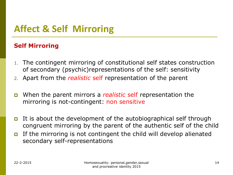# **Affect & Self Mirroring**

#### **Self Mirroring**

- 1. The contingent mirroring of constitutional self states construction of secondary (psychic)representations of the self: sensitivity
- 2. Apart from the *realistic* self representation of the parent
- When the parent mirrors a *realistic* self representation the mirroring is not-contingent: non sensitive
- It is about the development of the autobiographical self through congruent mirroring by the parent of the authentic self of the child
- If the mirroring is not contingent the child will develop alienated secondary self-representations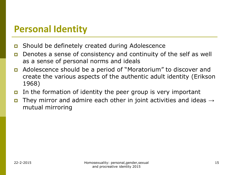### **Personal Identity**

- Should be definetely created during Adolescence
- Denotes a sense of consistency and continuity of the self as well as a sense of personal norms and ideals
- Adolescence should be a period of "Moratorium" to discover and create the various aspects of the authentic adult identity (Erikson 1968)
- In the formation of identity the peer group is very important
- **D** They mirror and admire each other in joint activities and ideas  $\rightarrow$ mutual mirroring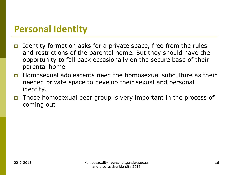### **Personal Identity**

- Identity formation asks for a private space, free from the rules and restrictions of the parental home. But they should have the opportunity to fall back occasionally on the secure base of their parental home
- Homosexual adolescents need the homosexual subculture as their needed private space to develop their sexual and personal identity.
- Those homosexual peer group is very important in the process of coming out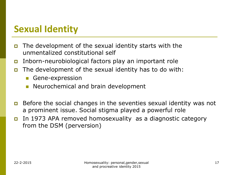- The development of the sexual identity starts with the unmentalized constitutional self
- Inborn-neurobiological factors play an important role
- The development of the sexual identity has to do with:
	- **Gene-expression**
	- Neurochemical and brain development
- Before the social changes in the seventies sexual identity was not a prominent issue. Social stigma played a powerful role
- In 1973 APA removed homosexuality as a diagnostic category from the DSM (perversion)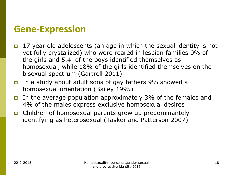### **Gene-Expression**

- 17 year old adolescents (an age in which the sexual identity is not yet fully crystalized) who were reared in lesbian families 0% of the girls and 5.4. of the boys identified themselves as homosexual, while 18% of the girls identified themselves on the bisexual spectrum (Gartrell 2011)
- In a study about adult sons of gay fathers 9% showed a homosexual orientation (Bailey 1995)
- In the average population approximately 3% of the females and 4% of the males express exclusive homosexual desires
- Children of homosexual parents grow up predominantely identifying as heterosexual (Tasker and Patterson 2007)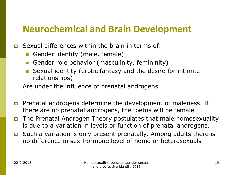### **Neurochemical and Brain Development**

- Sexual differences within the brain in terms of:
	- Gender identity (male, female)
	- Gender role behavior (masculinity, femininity)
	- Sexual identity (erotic fantasy and the desire for intimite relationships)

Are under the influence of prenatal androgens

- **P** Prenatal androgens determine the development of maleness. If there are no prenatal androgens, the foetus will be female
- The Prenatal Androgen Theory postulates that male homosexuality is due to a variation in levels or function of prenatal androgens.
- $\Box$  Such a variation is only present prenatally. Among adults there is no difference in sex-hormone level of homo or heterosexuals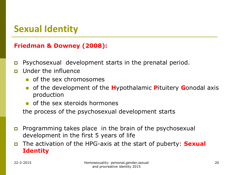#### **Friedman & Downey (2008):**

- Psychosexual development starts in the prenatal period.
- **n** Under the influence
	- **n** of the sex chromosomes
	- of the development of the **H**ypothalamic **P**ituitery **G**onodal axis production
	- of the sex steroids hormones

the process of the psychosexual development starts

- **Programming takes place in the brain of the psychosexual** development in the first 5 years of life
- The activation of the HPG-axis at the start of puberty: **Sexual Identity**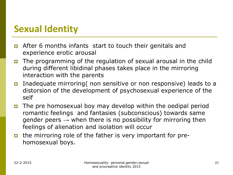- After 6 months infants start to touch their genitals and experience erotic arousal
- The programming of the regulation of sexual arousal in the child during different libidinal phases takes place in the mirroring interaction with the parents
- Inadequate mirroring( non sensitive or non responsive) leads to a distorsion of the development of psychosexual experience of the self
- The pre homosexual boy may develop within the oedipal period romantic feelings and fantasies (subconscious) towards same gender peers  $\rightarrow$  when there is no possibility for mirroring then feelings of alienation and isolation will occur
- the mirroring role of the father is very important for prehomosexual boys.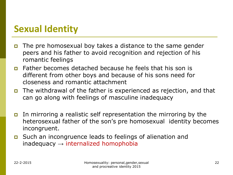- The pre homosexual boy takes a distance to the same gender peers and his father to avoid recognition and rejection of his romantic feelings
- $\Box$  Father becomes detached because he feels that his son is different from other boys and because of his sons need for closeness and romantic attachment
- The withdrawal of the father is experienced as rejection, and that can go along with feelings of masculine inadequacy
- In mirroring a realistic self representation the mirroring by the heterosexual father of the son's pre homosexual identity becomes incongruent.
- Such an incongruence leads to feelings of alienation and inadequacy  $\rightarrow$  internalized homophobia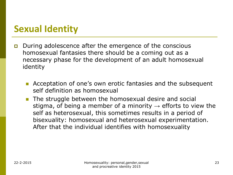- During adolescence after the emergence of the conscious homosexual fantasies there should be a coming out as a necessary phase for the development of an adult homosexual identity
	- **Acceptation of one's own erotic fantasies and the subsequent** self definition as homosexual
	- **The struggle between the homosexual desire and social** stigma, of being a member of a minority  $\rightarrow$  efforts to view the self as heterosexual, this sometimes results in a period of bisexuality: homosexual and heterosexual experimentation. After that the individual identifies with homosexuality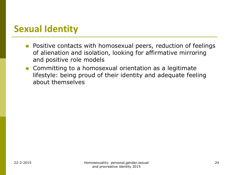- **Positive contacts with homosexual peers, reduction of feelings** of alienation and isolation, looking for affirmative mirroring and positive role models
- **Committing to a homosexual orientation as a legitimate** lifestyle: being proud of their identity and adequate feeling about themselves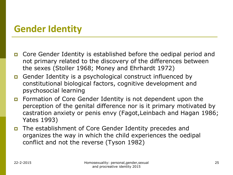- Core Gender Identity is established before the oedipal period and not primary related to the discovery of the differences between the sexes (Stoller 1968; Money and Ehrhardt 1972)
- Gender Identity is a psychological construct influenced by constitutional biological factors, cognitive development and psychosocial learning
- Formation of Core Gender Identity is not dependent upon the perception of the genital difference nor is it primary motivated by castration anxiety or penis envy (Fagot,Leinbach and Hagan 1986; Yates 1993)
- The establishment of Core Gender Identity precedes and organizes the way in which the child experiences the oedipal conflict and not the reverse (Tyson 1982)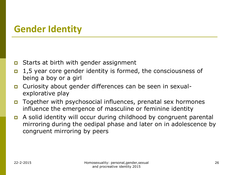- $\Box$  Starts at birth with gender assignment
- $\Box$  1,5 year core gender identity is formed, the consciousness of being a boy or a girl
- Curiosity about gender differences can be seen in sexualexplorative play
- Together with psychosocial influences, prenatal sex hormones influence the emergence of masculine or feminine identity
- A solid identity will occur during childhood by congruent parental mirroring during the oedipal phase and later on in adolescence by congruent mirroring by peers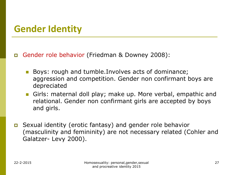Gender role behavior (Friedman & Downey 2008):

- Boys: rough and tumble.Involves acts of dominance; aggression and competition. Gender non confirmant boys are depreciated
- Girls: maternal doll play; make up. More verbal, empathic and relational. Gender non confirmant girls are accepted by boys and girls.
- Sexual identity (erotic fantasy) and gender role behavior (masculinity and femininity) are not necessary related (Cohler and Galatzer- Levy 2000).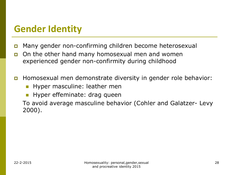- Many gender non-confirming children become heterosexual
- On the other hand many homosexual men and women experienced gender non-confirmity during childhood
- Homosexual men demonstrate diversity in gender role behavior:
	- **Hyper masculine: leather men**
	- Hyper effeminate: drag queen

To avoid average masculine behavior (Cohler and Galatzer- Levy 2000).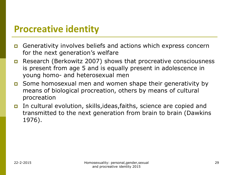### **Procreative identity**

- Generativity involves beliefs and actions which express concern for the next generation's welfare
- Research (Berkowitz 2007) shows that procreative consciousness is present from age 5 and is equally present in adolescence in young homo- and heterosexual men
- Some homosexual men and women shape their generativity by means of biological procreation, others by means of cultural procreation
- In cultural evolution, skills,ideas,faiths, science are copied and transmitted to the next generation from brain to brain (Dawkins 1976).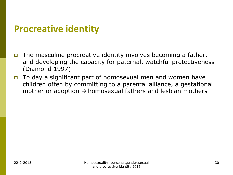### **Procreative identity**

- **The masculine procreative identity involves becoming a father,** and developing the capacity for paternal, watchful protectiveness (Diamond 1997)
- To day a significant part of homosexual men and women have children often by committing to a parental alliance, a gestational mother or adoption  $\rightarrow$  homosexual fathers and lesbian mothers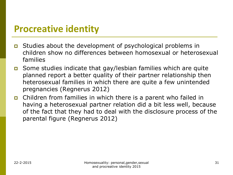### **Procreative identity**

- Studies about the development of psychological problems in children show no differences between homosexual or heterosexual families
- Some studies indicate that gay/lesbian families which are quite planned report a better quality of their partner relationship then heterosexual families in which there are quite a few unintended pregnancies (Regnerus 2012)
- Children from families in which there is a parent who failed in having a heterosexual partner relation did a bit less well, because of the fact that they had to deal with the disclosure process of the parental figure (Regnerus 2012)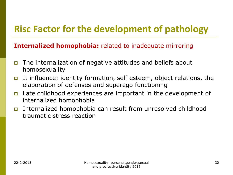# **Risc Factor for the development of pathology**

#### **Internalized homophobia:** related to inadequate mirroring

- The internalization of negative attitudes and beliefs about homosexuality
- It influence: identity formation, self esteem, object relations, the elaboration of defenses and superego functioning
- Late childhood experiences are important in the development of internalized homophobia
- Internalized homophobia can result from unresolved childhood traumatic stress reaction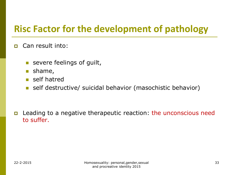# **Risc Factor for the development of pathology**

- **D** Can result into:
	- **severe feelings of guilt,**
	- **shame**,
	- self hatred
	- self destructive/ suicidal behavior (masochistic behavior)

 Leading to a negative therapeutic reaction: the unconscious need to suffer.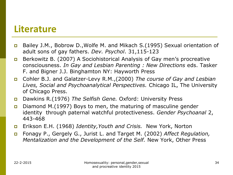#### **Literature**

- Bailey J.M., Bobrow D., Wolfe M. and Mikach S. (1995) Sexual orientation of adult sons of gay fathers. *Dev. Psychol*. 31,115-123
- Berkowitz B. (2007) A Sociohistorical Analysis of Gay men's procreative consciousness. *In Gay and Lesbian Parenting : New Directions* eds. Tasker F. and Bigner J.J. Binghamton NY: Hayworth Press
- Cohler B.J. and Galatzer-Levy R.M.,(2000) *The course of Gay and Lesbian Lives, Social and Psychoanalytical Perspectives.* Chicago IL, The University of Chicago Press.
- Dawkins R.(1976) *The Selfish Gene.* Oxford: University Press
- Diamond M.(1997) Boys to men, the maturing of masculine gender identity through paternal watchful protectiveness. *Gender Psychoanal* 2, 443-468
- Erikson E.H. (1968) *Identity,Youth and Crisis.* New York, Norton
- Fonagy P., Gergely G., Jurist L. and Target M. (2002) *Affect Regulation, Mentalization and the Development of the Self.* New York, Other Press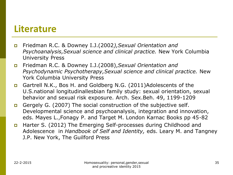### **Literature**

- Friedman R.C. & Downey I.J.(2002*),Sexual Orientation and Psychoanalysis,Sexual science and clinical practice.* New York Columbia University Press
- Friedman R.C. & Downey I.J.(2008),*Sexual Orientation and Psychodynamic Psychotherapy,Sexual science and clinical practice.* New York Columbia University Press
- Gartrell N.K., Bos H. and Goldberg N.G. (2011)Adolescents of the U.S.national longitudinallesbian family study: sexual orientation, sexual behavior and sexual risk exposure. Arch. Sex.Beh. 49, 1199-1209
- Gergely G. (2007) The social construction of the subjective self. Developmental science and psychoanalysis, integration and innovation, eds. Mayes L.,Fonagy P. and Target M. London Karnac Books pp 45-82
- Harter S. (2012) The Emerging Self-processes during Childhood and Adolescence in *Handbook of Self and Identity,* eds. Leary M. and Tangney J.P. New York, The Guilford Press